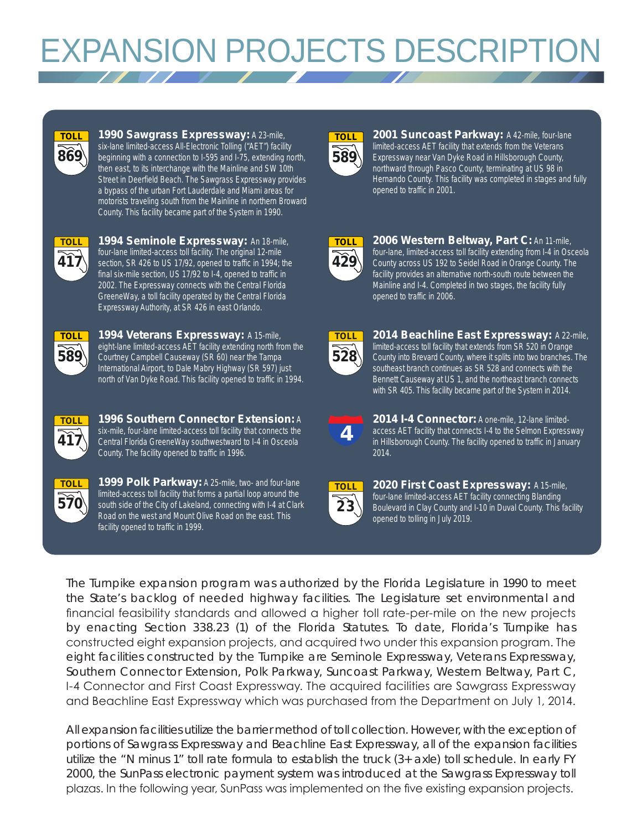# **EXPANSION PROJECTS DESCRIPTIO**



**1990 Sawgrass Expressway:** A 23-mile, six-lane limited-access All-Electronic Tolling ("AET") facility beginning with a connection to I-595 and I-75, extending north, then east, to its interchange with the Mainline and SW 10th Street in Deerfield Beach. The Sawgrass Expressway provides a bypass of the urban Fort Lauderdale and Miami areas for motorists traveling south from the Mainline in northern Broward County. This facility became part of the System in 1990.



**1994 Seminole Expressway:** An 18-mile, four-lane limited-access toll facility. The original 12-mile section, SR 426 to US 17/92, opened to traffic in 1994; the final six-mile section, US 17/92 to I-4, opened to traffic in 2002. The Expressway connects with the Central Florida GreeneWay, a toll facility operated by the Central Florida Expressway Authority, at SR 426 in east Orlando.



**1994 Veterans Expressway:** A 15-mile, eight-lane limited-access AET facility extending north from the Courtney Campbell Causeway (SR 60) near the Tampa International Airport, to Dale Mabry Highway (SR 597) just north of Van Dyke Road. This facility opened to traffic in 1994.



**1996 Southern Connector Extension:** A six-mile, four-lane limited-access toll facility that connects the Central Florida GreeneWay southwestward to I-4 in Osceola County. The facility opened to traffic in 1996.



1999 Polk Parkway: A 25-mile, two- and four-lane limited-access toll facility that forms a partial loop around the south side of the City of Lakeland, connecting with I-4 at Clark Road on the west and Mount Olive Road on the east. This facility opened to traffic in 1999.



**2001 Suncoast Parkway:** A 42-mile, four-lane limited-access AET facility that extends from the Veterans Expressway near Van Dyke Road in Hillsborough County, northward through Pasco County, terminating at US 98 in Hernando County. This facility was completed in stages and fully opened to traffic in 2001.



**2006 Western Beltway, Part C:** An 11-mile, four-lane, limited-access toll facility extending from I-4 in Osceola County across US 192 to Seidel Road in Orange County. The facility provides an alternative north-south route between the Mainline and I-4. Completed in two stages, the facility fully opened to traffic in 2006.



**2014 Beachline East Expressway:** A 22-mile, limited-access toll facility that extends from SR 520 in Orange County into Brevard County, where it splits into two branches. The southeast branch continues as SR 528 and connects with the Bennett Causeway at US 1, and the northeast branch connects with SR 405. This facility became part of the System in 2014.



**2014 I-4 Connector:** A one-mile, 12-lane limitedaccess AET facility that connects I-4 to the Selmon Expressway in Hillsborough County. The facility opened to traffic in January 2014.



**2020 First Coast Expressway:** A 15-mile, four-lane limited-access AET facility connecting Blanding Boulevard in Clay County and I-10 in Duval County. This facility opened to tolling in July 2019.

The Turnpike expansion program was authorized by the Florida Legislature in 1990 to meet the State's backlog of needed highway facilities. The Legislature set environmental and financial feasibility standards and allowed a higher toll rate-per-mile on the new projects by enacting Section 338.23 (1) of the Florida Statutes. To date, Florida's Turnpike has constructed eight expansion projects, and acquired two under this expansion program. The eight facilities constructed by the Turnpike are Seminole Expressway, Veterans Expressway, Southern Connector Extension, Polk Parkway, Suncoast Parkway, Western Beltway, Part C, I-4 Connector and First Coast Expressway. The acquired facilities are Sawgrass Expressway and Beachline East Expressway which was purchased from the Department on July 1, 2014.

All expansion facilities utilize the barrier method of toll collection. However, with the exception of portions of Sawgrass Expressway and Beachline East Expressway, all of the expansion facilities utilize the "N minus 1" toll rate formula to establish the truck (3+ axle) toll schedule. In early FY 2000, the SunPass electronic payment system was introduced at the Sawgrass Expressway toll plazas. In the following year, SunPass was implemented on the five existing expansion projects.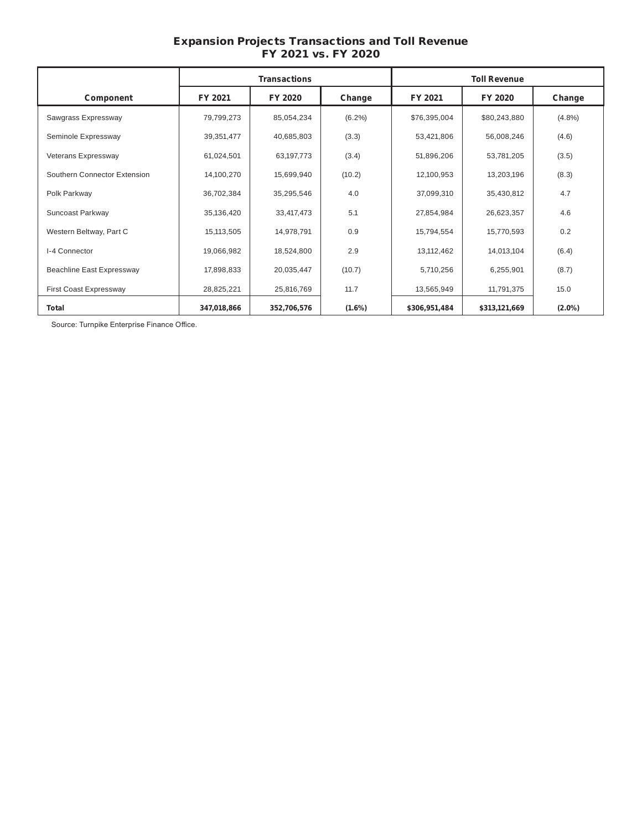# Expansion Projects Transactions and Toll Revenue FY 2021 vs. FY 2020

|                              | <b>Transactions</b> |             |           |               | <b>Toll Revenue</b> |           |
|------------------------------|---------------------|-------------|-----------|---------------|---------------------|-----------|
| Component                    | FY 2021             | FY 2020     | Change    | FY 2021       | FY 2020             | Change    |
| Sawgrass Expressway          | 79,799,273          | 85,054,234  | $(6.2\%)$ | \$76,395,004  | \$80,243,880        | $(4.8\%)$ |
| Seminole Expressway          | 39,351,477          | 40,685,803  | (3.3)     | 53,421,806    | 56,008,246          | (4.6)     |
| Veterans Expressway          | 61,024,501          | 63,197,773  | (3.4)     | 51,896,206    | 53,781,205          | (3.5)     |
| Southern Connector Extension | 14,100,270          | 15,699,940  | (10.2)    | 12,100,953    | 13,203,196          | (8.3)     |
| Polk Parkway                 | 36,702,384          | 35,295,546  | 4.0       | 37,099,310    | 35,430,812          | 4.7       |
| Suncoast Parkway             | 35,136,420          | 33,417,473  | 5.1       | 27,854,984    | 26,623,357          | 4.6       |
| Western Beltway, Part C      | 15,113,505          | 14,978,791  | 0.9       | 15,794,554    | 15,770,593          | 0.2       |
| I-4 Connector                | 19,066,982          | 18,524,800  | 2.9       | 13,112,462    | 14,013,104          | (6.4)     |
| Beachline East Expressway    | 17,898,833          | 20,035,447  | (10.7)    | 5,710,256     | 6,255,901           | (8.7)     |
| First Coast Expressway       | 28,825,221          | 25,816,769  | 11.7      | 13,565,949    | 11,791,375          | 15.0      |
| Total                        | 347,018,866         | 352,706,576 | $(1.6\%)$ | \$306,951,484 | \$313,121,669       | $(2.0\%)$ |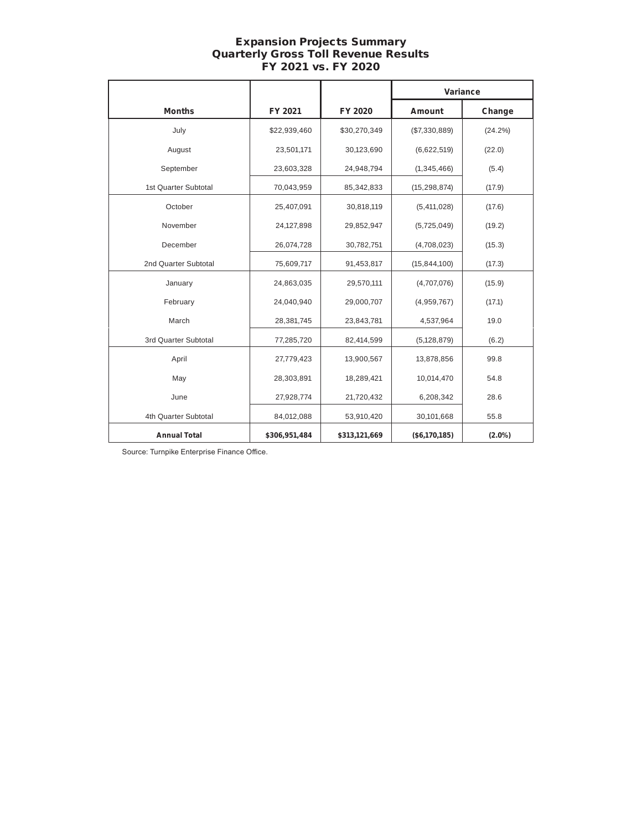# Expansion Projects Summary Quarterly Gross Toll Revenue Results FY 2021 vs. FY 2020

|                      |               |               | Variance       |            |
|----------------------|---------------|---------------|----------------|------------|
| <b>Months</b>        | FY 2021       | FY 2020       | <b>Amount</b>  | Change     |
| July                 | \$22,939,460  | \$30,270,349  | (\$7,330,889)  | $(24.2\%)$ |
| August               | 23,501,171    | 30,123,690    | (6,622,519)    | (22.0)     |
| September            | 23,603,328    | 24,948,794    | (1,345,466)    | (5.4)      |
| 1st Quarter Subtotal | 70,043,959    | 85,342,833    | (15, 298, 874) | (17.9)     |
| October              | 25,407,091    | 30,818,119    | (5,411,028)    | (17.6)     |
| November             | 24,127,898    | 29,852,947    | (5,725,049)    | (19.2)     |
| December             | 26,074,728    | 30,782,751    | (4,708,023)    | (15.3)     |
| 2nd Quarter Subtotal | 75,609,717    | 91,453,817    | (15, 844, 100) | (17.3)     |
| January              | 24,863,035    | 29,570,111    | (4,707,076)    | (15.9)     |
| February             | 24,040,940    | 29,000,707    | (4,959,767)    | (17.1)     |
| March                | 28,381,745    | 23,843,781    | 4,537,964      | 19.0       |
| 3rd Quarter Subtotal | 77,285,720    | 82,414,599    | (5, 128, 879)  | (6.2)      |
| April                | 27,779,423    | 13,900,567    | 13,878,856     | 99.8       |
| May                  | 28,303,891    | 18,289,421    | 10,014,470     | 54.8       |
| June                 | 27,928,774    | 21,720,432    | 6,208,342      | 28.6       |
| 4th Quarter Subtotal | 84,012,088    | 53,910,420    | 30,101,668     | 55.8       |
| <b>Annual Total</b>  | \$306,951,484 | \$313,121,669 | (\$6,170,185)  | $(2.0\%)$  |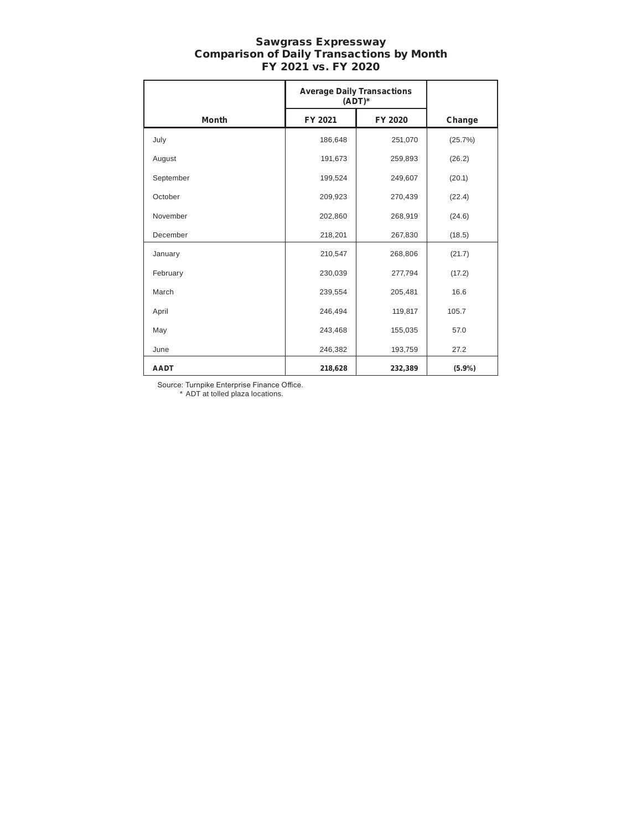#### Sawgrass Expressway Comparison of Daily Transactions by Month FY 2021 vs. FY 2020

|              | <b>Average Daily Transactions</b><br>$(ADT)^*$ |         |         |
|--------------|------------------------------------------------|---------|---------|
| <b>Month</b> | FY 2021                                        | FY 2020 | Change  |
| July         | 186,648                                        | 251,070 | (25.7%) |
| August       | 191,673                                        | 259,893 | (26.2)  |
| September    | 199,524                                        | 249,607 | (20.1)  |
| October      | 209,923                                        | 270,439 | (22.4)  |
| November     | 202,860                                        | 268,919 | (24.6)  |
| December     | 218,201                                        | 267,830 | (18.5)  |
| January      | 210,547                                        | 268,806 | (21.7)  |
| February     | 230,039                                        | 277,794 | (17.2)  |
| March        | 239,554                                        | 205,481 | 16.6    |
| April        | 246,494                                        | 119,817 | 105.7   |
| May          | 243,468                                        | 155,035 | 57.0    |
| June         | 246,382                                        | 193,759 | 27.2    |
| <b>AADT</b>  | 218,628                                        | 232,389 | (5.9%)  |

Source: Turnpike Enterprise Finance Office.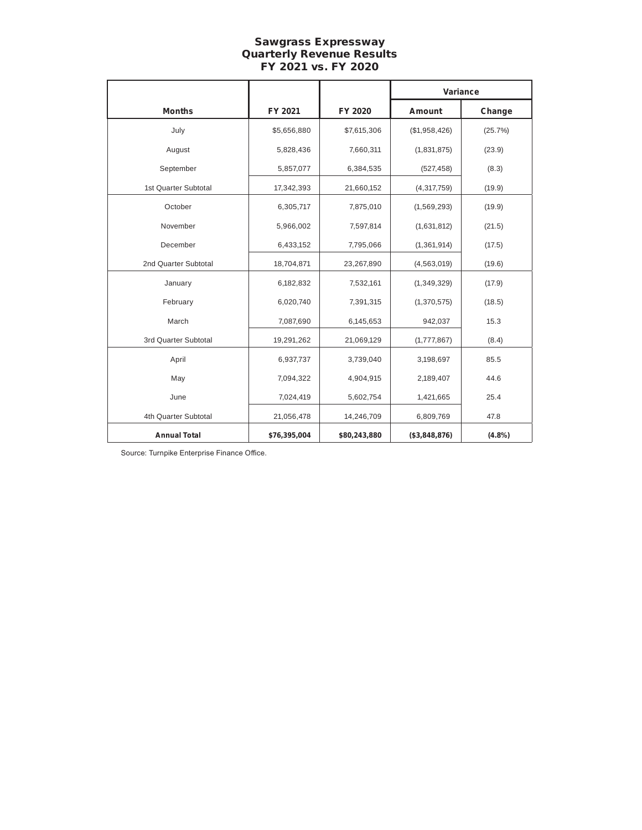## Sawgrass Expressway Quarterly Revenue Results FY 2021 vs. FY 2020

|                      |              |              | Variance      |         |
|----------------------|--------------|--------------|---------------|---------|
| <b>Months</b>        | FY 2021      | FY 2020      | Amount        | Change  |
| July                 | \$5,656,880  | \$7,615,306  | (\$1,958,426) | (25.7%) |
| August               | 5,828,436    | 7,660,311    | (1,831,875)   | (23.9)  |
| September            | 5,857,077    | 6,384,535    | (527, 458)    | (8.3)   |
| 1st Quarter Subtotal | 17,342,393   | 21,660,152   | (4, 317, 759) | (19.9)  |
| October              | 6,305,717    | 7,875,010    | (1,569,293)   | (19.9)  |
| November             | 5,966,002    | 7,597,814    | (1,631,812)   | (21.5)  |
| December             | 6,433,152    | 7,795,066    | (1,361,914)   | (17.5)  |
| 2nd Quarter Subtotal | 18,704,871   | 23,267,890   | (4, 563, 019) | (19.6)  |
| January              | 6,182,832    | 7,532,161    | (1,349,329)   | (17.9)  |
| February             | 6,020,740    | 7,391,315    | (1,370,575)   | (18.5)  |
| March                | 7,087,690    | 6,145,653    | 942,037       | 15.3    |
| 3rd Quarter Subtotal | 19,291,262   | 21,069,129   | (1,777,867)   | (8.4)   |
| April                | 6,937,737    | 3,739,040    | 3,198,697     | 85.5    |
| May                  | 7,094,322    | 4,904,915    | 2,189,407     | 44.6    |
| June                 | 7,024,419    | 5,602,754    | 1,421,665     | 25.4    |
| 4th Quarter Subtotal | 21,056,478   | 14,246,709   | 6,809,769     | 47.8    |
| <b>Annual Total</b>  | \$76,395,004 | \$80,243,880 | (\$3,848,876) | (4.8%)  |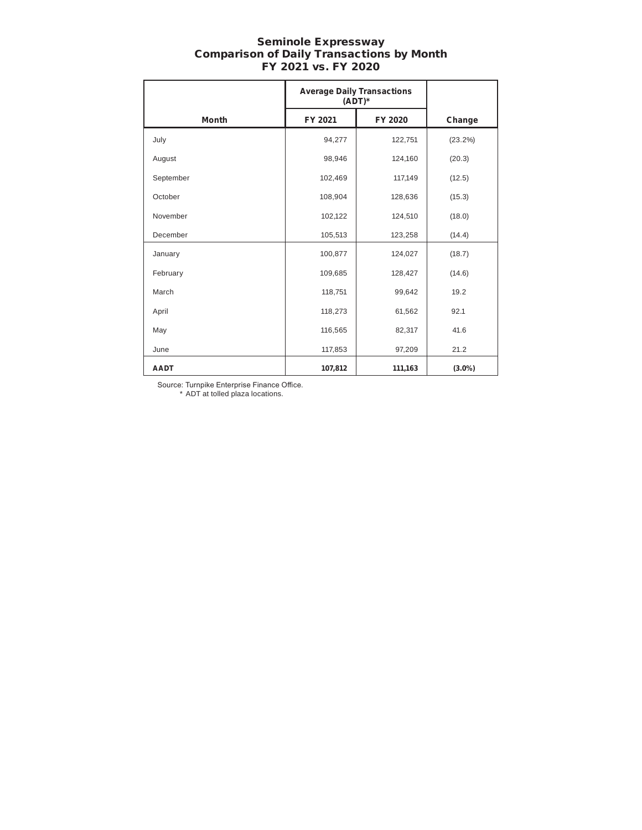#### Seminole Expressway Comparison of Daily Transactions by Month FY 2021 vs. FY 2020

|              | <b>Average Daily Transactions</b><br>$(ADT)^*$ |         |           |
|--------------|------------------------------------------------|---------|-----------|
| <b>Month</b> | FY 2021                                        | FY 2020 | Change    |
| July         | 94,277                                         | 122,751 | (23.2%)   |
| August       | 98,946                                         | 124,160 | (20.3)    |
| September    | 102,469                                        | 117,149 | (12.5)    |
| October      | 108,904                                        | 128,636 | (15.3)    |
| November     | 102,122                                        | 124,510 | (18.0)    |
| December     | 105,513                                        | 123,258 | (14.4)    |
| January      | 100,877                                        | 124,027 | (18.7)    |
| February     | 109,685                                        | 128,427 | (14.6)    |
| March        | 118,751                                        | 99,642  | 19.2      |
| April        | 118,273                                        | 61,562  | 92.1      |
| May          | 116,565                                        | 82,317  | 41.6      |
| June         | 117,853                                        | 97,209  | 21.2      |
| <b>AADT</b>  | 107,812                                        | 111,163 | $(3.0\%)$ |

Source: Turnpike Enterprise Finance Office.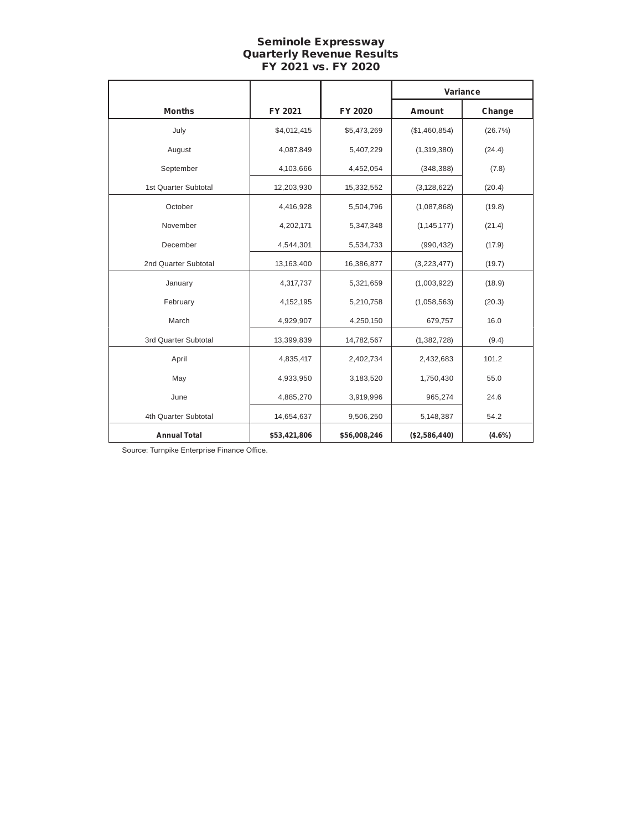# Seminole Expressway Quarterly Revenue Results FY 2021 vs. FY 2020

|                      |              |              | Variance      |           |
|----------------------|--------------|--------------|---------------|-----------|
| <b>Months</b>        | FY 2021      | FY 2020      | Amount        | Change    |
| July                 | \$4,012,415  | \$5,473,269  | (\$1,460,854) | (26.7%)   |
| August               | 4,087,849    | 5,407,229    | (1,319,380)   | (24.4)    |
| September            | 4,103,666    | 4,452,054    | (348, 388)    | (7.8)     |
| 1st Quarter Subtotal | 12,203,930   | 15,332,552   | (3, 128, 622) | (20.4)    |
| October              | 4,416,928    | 5,504,796    | (1,087,868)   | (19.8)    |
| November             | 4,202,171    | 5,347,348    | (1, 145, 177) | (21.4)    |
| December             | 4,544,301    | 5,534,733    | (990, 432)    | (17.9)    |
| 2nd Quarter Subtotal | 13,163,400   | 16,386,877   | (3,223,477)   | (19.7)    |
| January              | 4,317,737    | 5,321,659    | (1,003,922)   | (18.9)    |
| February             | 4,152,195    | 5,210,758    | (1,058,563)   | (20.3)    |
| March                | 4,929,907    | 4,250,150    | 679,757       | 16.0      |
| 3rd Quarter Subtotal | 13,399,839   | 14,782,567   | (1, 382, 728) | (9.4)     |
| April                | 4,835,417    | 2,402,734    | 2,432,683     | 101.2     |
| May                  | 4,933,950    | 3,183,520    | 1,750,430     | 55.0      |
| June                 | 4,885,270    | 3,919,996    | 965,274       | 24.6      |
| 4th Quarter Subtotal | 14,654,637   | 9,506,250    | 5,148,387     | 54.2      |
| <b>Annual Total</b>  | \$53,421,806 | \$56,008,246 | (\$2,586,440) | $(4.6\%)$ |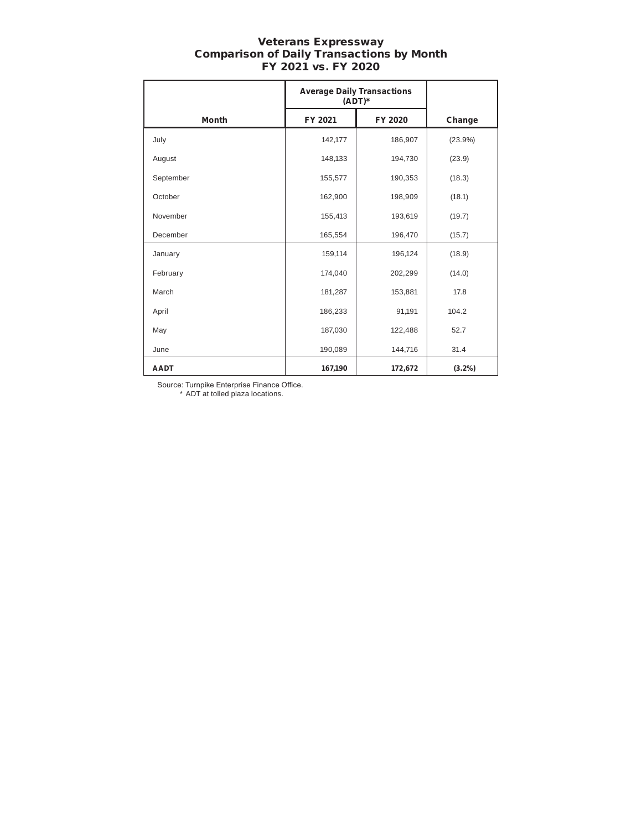#### Veterans Expressway Comparison of Daily Transactions by Month FY 2021 vs. FY 2020

|              | <b>Average Daily Transactions</b><br>$(ADT)^*$ |         |           |
|--------------|------------------------------------------------|---------|-----------|
| <b>Month</b> | FY 2021                                        | FY 2020 | Change    |
| July         | 142,177                                        | 186,907 | (23.9%)   |
| August       | 148,133                                        | 194,730 | (23.9)    |
| September    | 155,577                                        | 190,353 | (18.3)    |
| October      | 162,900                                        | 198,909 | (18.1)    |
| November     | 155,413                                        | 193,619 | (19.7)    |
| December     | 165,554                                        | 196,470 | (15.7)    |
| January      | 159,114                                        | 196,124 | (18.9)    |
| February     | 174,040                                        | 202,299 | (14.0)    |
| March        | 181,287                                        | 153,881 | 17.8      |
| April        | 186,233                                        | 91,191  | 104.2     |
| May          | 187,030                                        | 122,488 | 52.7      |
| June         | 190,089                                        | 144,716 | 31.4      |
| <b>AADT</b>  | 167,190                                        | 172,672 | $(3.2\%)$ |

Source: Turnpike Enterprise Finance Office.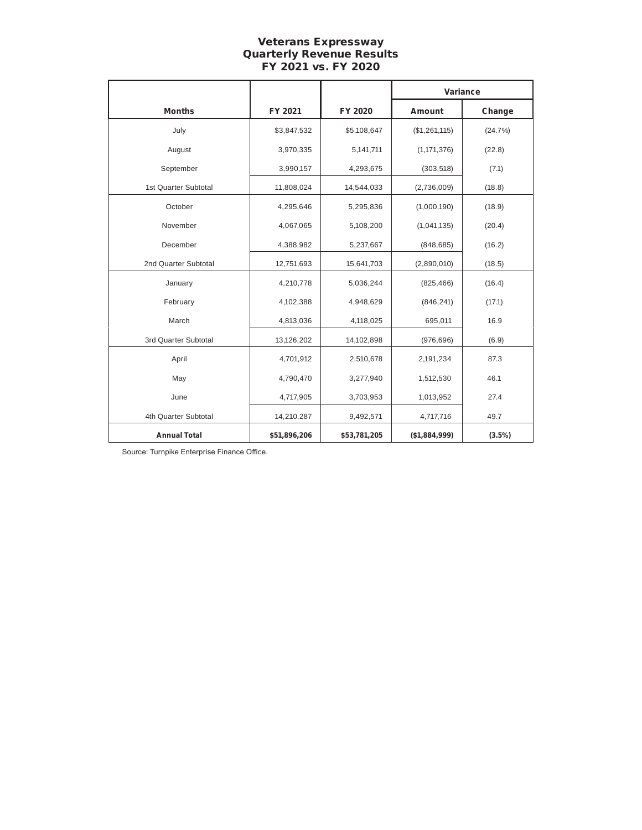# Veterans Expressway Quarterly Revenue Results FY 2021 vs. FY 2020

|                      |              |              | Variance      |           |
|----------------------|--------------|--------------|---------------|-----------|
| <b>Months</b>        | FY 2021      | FY 2020      | Amount        | Change    |
| July                 | \$3,847,532  | \$5,108,647  | (\$1,261,115) | (24.7%)   |
| August               | 3,970,335    | 5,141,711    | (1, 171, 376) | (22.8)    |
| September            | 3,990,157    | 4,293,675    | (303, 518)    | (7.1)     |
| 1st Quarter Subtotal | 11,808,024   | 14,544,033   | (2,736,009)   | (18.8)    |
| October              | 4,295,646    | 5,295,836    | (1,000,190)   | (18.9)    |
| November             | 4,067,065    | 5,108,200    | (1,041,135)   | (20.4)    |
| December             | 4,388,982    | 5,237,667    | (848, 685)    | (16.2)    |
| 2nd Quarter Subtotal | 12,751,693   | 15,641,703   | (2,890,010)   | (18.5)    |
| January              | 4,210,778    | 5,036,244    | (825, 466)    | (16.4)    |
| February             | 4,102,388    | 4,948,629    | (846, 241)    | (17.1)    |
| March                | 4,813,036    | 4,118,025    | 695,011       | 16.9      |
| 3rd Quarter Subtotal | 13,126,202   | 14,102,898   | (976, 696)    | (6.9)     |
| April                | 4,701,912    | 2,510,678    | 2,191,234     | 87.3      |
| May                  | 4,790,470    | 3,277,940    | 1,512,530     | 46.1      |
| June                 | 4,717,905    | 3,703,953    | 1,013,952     | 27.4      |
| 4th Quarter Subtotal | 14,210,287   | 9,492,571    | 4,717,716     | 49.7      |
| <b>Annual Total</b>  | \$51,896,206 | \$53,781,205 | (\$1,884,999) | $(3.5\%)$ |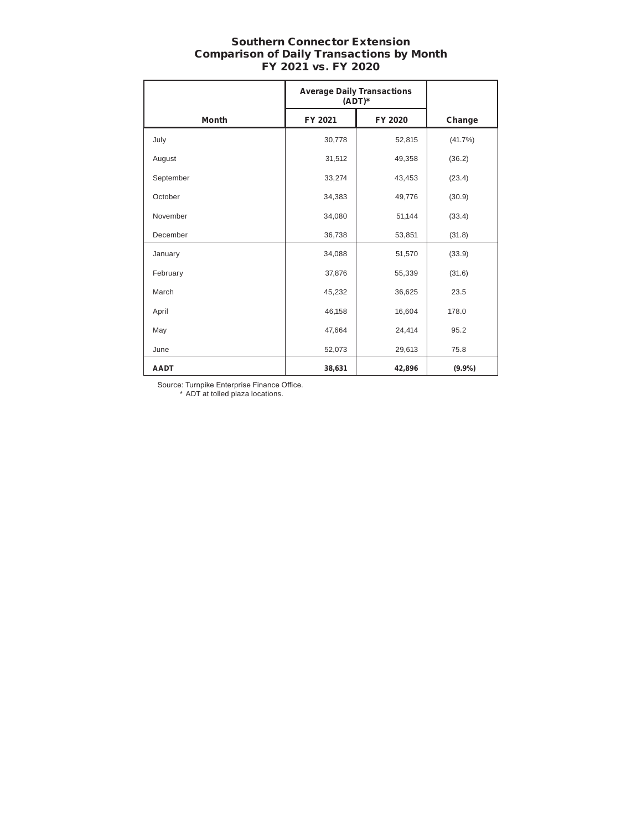# Southern Connector Extension Comparison of Daily Transactions by Month FY 2021 vs. FY 2020

|              | <b>Average Daily Transactions</b><br>$(ADT)^*$ |         |           |
|--------------|------------------------------------------------|---------|-----------|
| <b>Month</b> | FY 2021                                        | FY 2020 | Change    |
| July         | 30,778                                         | 52,815  | (41.7%)   |
| August       | 31,512                                         | 49,358  | (36.2)    |
| September    | 33,274                                         | 43,453  | (23.4)    |
| October      | 34,383                                         | 49,776  | (30.9)    |
| November     | 34,080                                         | 51,144  | (33.4)    |
| December     | 36,738                                         | 53,851  | (31.8)    |
| January      | 34,088                                         | 51,570  | (33.9)    |
| February     | 37,876                                         | 55,339  | (31.6)    |
| March        | 45,232                                         | 36,625  | 23.5      |
| April        | 46,158                                         | 16,604  | 178.0     |
| May          | 47,664                                         | 24,414  | 95.2      |
| June         | 52,073                                         | 29,613  | 75.8      |
| <b>AADT</b>  | 38,631                                         | 42,896  | $(9.9\%)$ |

Source: Turnpike Enterprise Finance Office.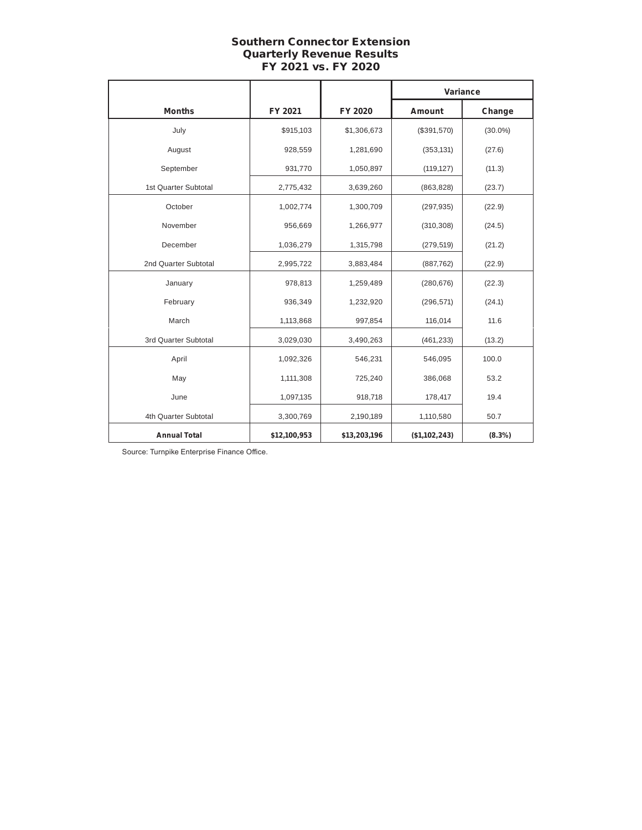# Southern Connector Extension Quarterly Revenue Results FY 2021 vs. FY 2020

|                      |              |              | Variance      |            |
|----------------------|--------------|--------------|---------------|------------|
| <b>Months</b>        | FY 2021      | FY 2020      | Amount        | Change     |
| July                 | \$915,103    | \$1,306,673  | (\$391,570)   | $(30.0\%)$ |
| August               | 928,559      | 1,281,690    | (353, 131)    | (27.6)     |
| September            | 931,770      | 1,050,897    | (119, 127)    | (11.3)     |
| 1st Quarter Subtotal | 2,775,432    | 3,639,260    | (863, 828)    | (23.7)     |
| October              | 1,002,774    | 1,300,709    | (297, 935)    | (22.9)     |
| November             | 956,669      | 1,266,977    | (310, 308)    | (24.5)     |
| December             | 1,036,279    | 1,315,798    | (279, 519)    | (21.2)     |
| 2nd Quarter Subtotal | 2,995,722    | 3,883,484    | (887, 762)    | (22.9)     |
| January              | 978,813      | 1,259,489    | (280, 676)    | (22.3)     |
| February             | 936,349      | 1,232,920    | (296, 571)    | (24.1)     |
| March                | 1,113,868    | 997,854      | 116,014       | 11.6       |
| 3rd Quarter Subtotal | 3,029,030    | 3,490,263    | (461, 233)    | (13.2)     |
| April                | 1,092,326    | 546,231      | 546,095       | 100.0      |
| May                  | 1,111,308    | 725,240      | 386,068       | 53.2       |
| June                 | 1,097,135    | 918,718      | 178,417       | 19.4       |
| 4th Quarter Subtotal | 3,300,769    | 2,190,189    | 1,110,580     | 50.7       |
| <b>Annual Total</b>  | \$12,100,953 | \$13,203,196 | (\$1,102,243) | $(8.3\%)$  |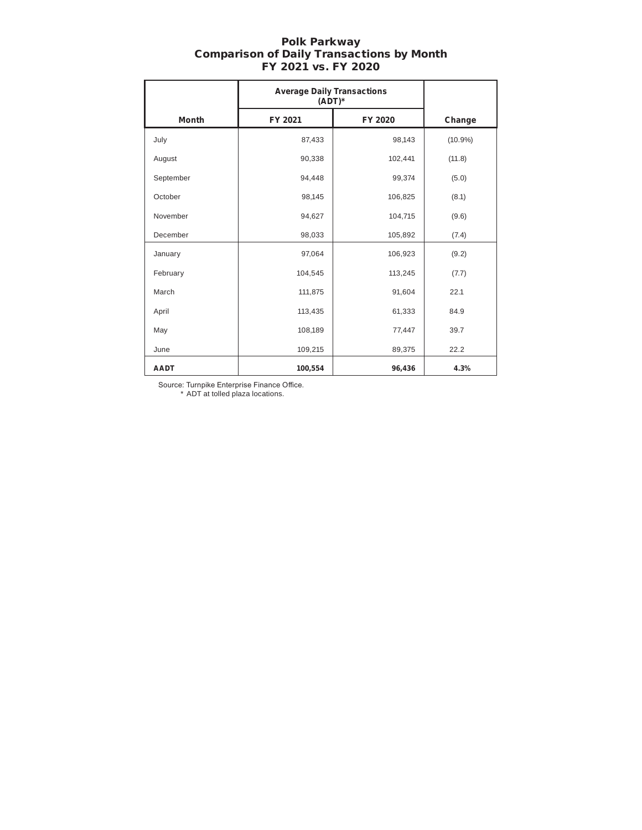|              | <b>Average Daily Transactions</b><br>$(ADT)^*$ |         |            |
|--------------|------------------------------------------------|---------|------------|
| <b>Month</b> | FY 2021                                        | FY 2020 | Change     |
| July         | 87,433                                         | 98,143  | $(10.9\%)$ |
| August       | 90,338                                         | 102,441 | (11.8)     |
| September    | 94,448                                         | 99,374  | (5.0)      |
| October      | 98,145                                         | 106,825 | (8.1)      |
| November     | 94,627                                         | 104,715 | (9.6)      |
| December     | 98,033                                         | 105,892 | (7.4)      |
| January      | 97,064                                         | 106,923 | (9.2)      |
| February     | 104,545                                        | 113,245 | (7.7)      |
| March        | 111,875                                        | 91,604  | 22.1       |
| April        | 113,435                                        | 61,333  | 84.9       |
| May          | 108,189                                        | 77,447  | 39.7       |
| June         | 109,215                                        | 89,375  | 22.2       |
| <b>AADT</b>  | 100,554                                        | 96,436  | 4.3%       |

#### Polk Parkway Comparison of Daily Transactions by Month FY 2021 vs. FY 2020

Source: Turnpike Enterprise Finance Office. \* ADT at tolled plaza locations.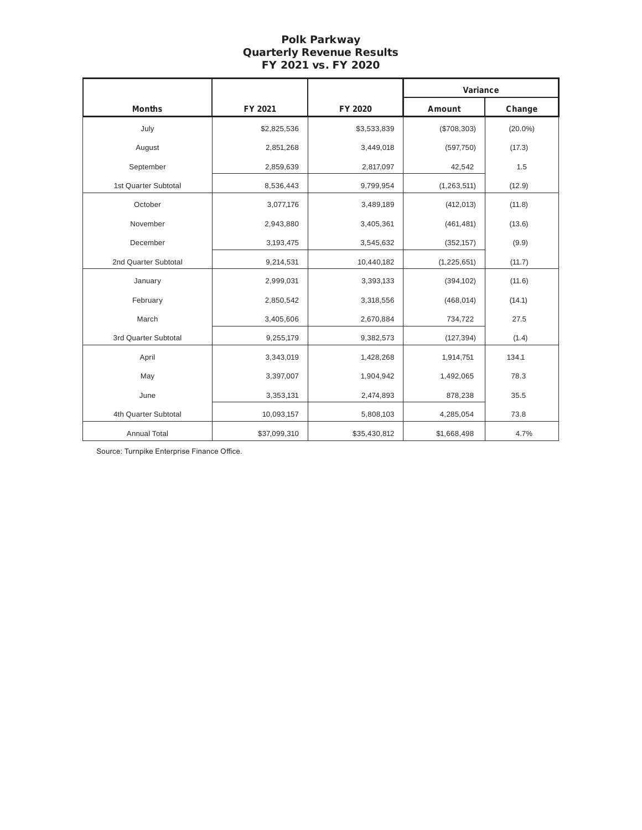#### Polk Parkway Quarterly Revenue Results FY 2021 vs. FY 2020

|                      |              |              | Variance      |            |
|----------------------|--------------|--------------|---------------|------------|
| <b>Months</b>        | FY 2021      | FY 2020      | Amount        | Change     |
| July                 | \$2,825,536  | \$3,533,839  | (\$708,303)   | $(20.0\%)$ |
| August               | 2,851,268    | 3,449,018    | (597,750)     | (17.3)     |
| September            | 2,859,639    | 2,817,097    | 42,542        | 1.5        |
| 1st Quarter Subtotal | 8,536,443    | 9,799,954    | (1, 263, 511) | (12.9)     |
| October              | 3,077,176    | 3,489,189    | (412, 013)    | (11.8)     |
| November             | 2,943,880    | 3,405,361    | (461, 481)    | (13.6)     |
| December             | 3,193,475    | 3,545,632    | (352, 157)    | (9.9)      |
| 2nd Quarter Subtotal | 9,214,531    | 10,440,182   | (1, 225, 651) | (11.7)     |
| January              | 2,999,031    | 3,393,133    | (394, 102)    | (11.6)     |
| February             | 2,850,542    | 3,318,556    | (468, 014)    | (14.1)     |
| March                | 3,405,606    | 2,670,884    | 734,722       | 27.5       |
| 3rd Quarter Subtotal | 9,255,179    | 9,382,573    | (127, 394)    | (1.4)      |
| April                | 3,343,019    | 1,428,268    | 1,914,751     | 134.1      |
| May                  | 3,397,007    | 1,904,942    | 1,492,065     | 78.3       |
| June                 | 3,353,131    | 2,474,893    | 878,238       | 35.5       |
| 4th Quarter Subtotal | 10,093,157   | 5,808,103    | 4,285,054     | 73.8       |
| <b>Annual Total</b>  | \$37,099,310 | \$35,430,812 | \$1,668,498   | 4.7%       |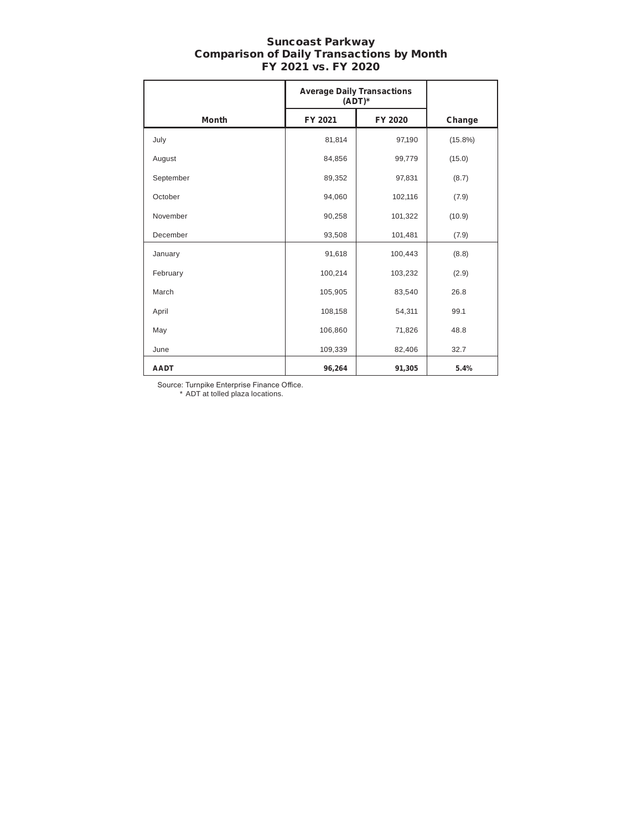#### Suncoast Parkway Comparison of Daily Transactions by Month FY 2021 vs. FY 2020

|              | <b>Average Daily Transactions</b><br>$(ADT)^*$ |         |            |
|--------------|------------------------------------------------|---------|------------|
| <b>Month</b> | FY 2021                                        | FY 2020 | Change     |
| July         | 81,814                                         | 97,190  | $(15.8\%)$ |
| August       | 84,856                                         | 99,779  | (15.0)     |
| September    | 89,352                                         | 97,831  | (8.7)      |
| October      | 94,060                                         | 102,116 | (7.9)      |
| November     | 90,258                                         | 101,322 | (10.9)     |
| December     | 93,508                                         | 101,481 | (7.9)      |
| January      | 91,618                                         | 100,443 | (8.8)      |
| February     | 100,214                                        | 103,232 | (2.9)      |
| March        | 105,905                                        | 83,540  | 26.8       |
| April        | 108,158                                        | 54,311  | 99.1       |
| May          | 106,860                                        | 71,826  | 48.8       |
| June         | 109,339                                        | 82,406  | 32.7       |
| <b>AADT</b>  | 96,264                                         | 91,305  | 5.4%       |

Source: Turnpike Enterprise Finance Office.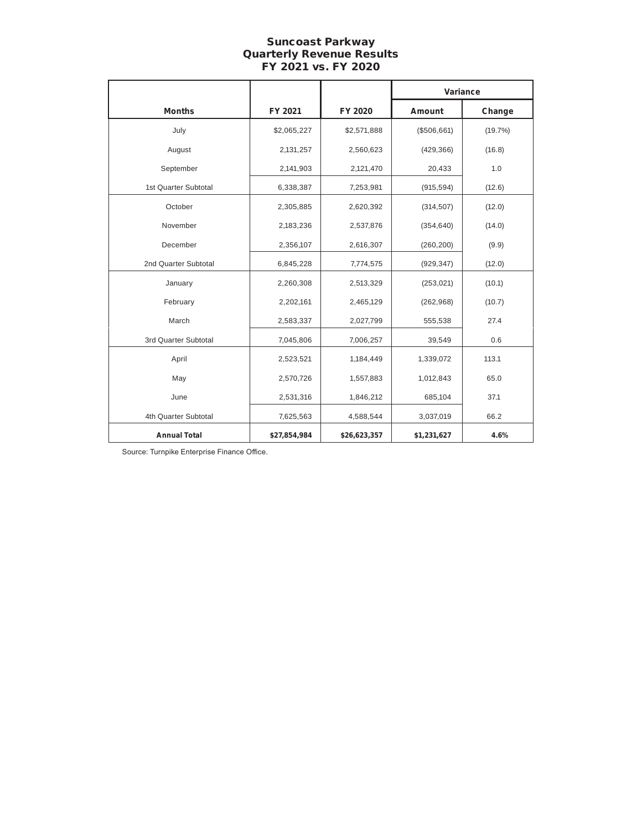# Suncoast Parkway Quarterly Revenue Results FY 2021 vs. FY 2020

|                      |              |              | Variance    |         |  |
|----------------------|--------------|--------------|-------------|---------|--|
| <b>Months</b>        | FY 2021      | FY 2020      | Amount      | Change  |  |
| July                 | \$2,065,227  | \$2,571,888  | (\$506,661) | (19.7%) |  |
| August               | 2,131,257    | 2,560,623    | (429, 366)  | (16.8)  |  |
| September            | 2,141,903    | 2,121,470    | 20,433      | 1.0     |  |
| 1st Quarter Subtotal | 6,338,387    | 7,253,981    | (915, 594)  | (12.6)  |  |
| October              | 2,305,885    | 2,620,392    | (314, 507)  | (12.0)  |  |
| November             | 2,183,236    | 2,537,876    | (354, 640)  | (14.0)  |  |
| December             | 2,356,107    | 2,616,307    | (260, 200)  | (9.9)   |  |
| 2nd Quarter Subtotal | 6,845,228    | 7,774,575    | (929, 347)  | (12.0)  |  |
| January              | 2,260,308    | 2,513,329    | (253, 021)  | (10.1)  |  |
| February             | 2,202,161    | 2,465,129    | (262, 968)  | (10.7)  |  |
| March                | 2,583,337    | 2,027,799    | 555,538     | 27.4    |  |
| 3rd Quarter Subtotal | 7,045,806    | 7,006,257    | 39,549      | 0.6     |  |
| April                | 2,523,521    | 1,184,449    | 1,339,072   | 113.1   |  |
| May                  | 2,570,726    | 1,557,883    | 1,012,843   | 65.0    |  |
| June                 | 2,531,316    | 1,846,212    | 685,104     | 37.1    |  |
| 4th Quarter Subtotal | 7,625,563    | 4,588,544    | 3,037,019   | 66.2    |  |
| <b>Annual Total</b>  | \$27,854,984 | \$26,623,357 | \$1,231,627 | 4.6%    |  |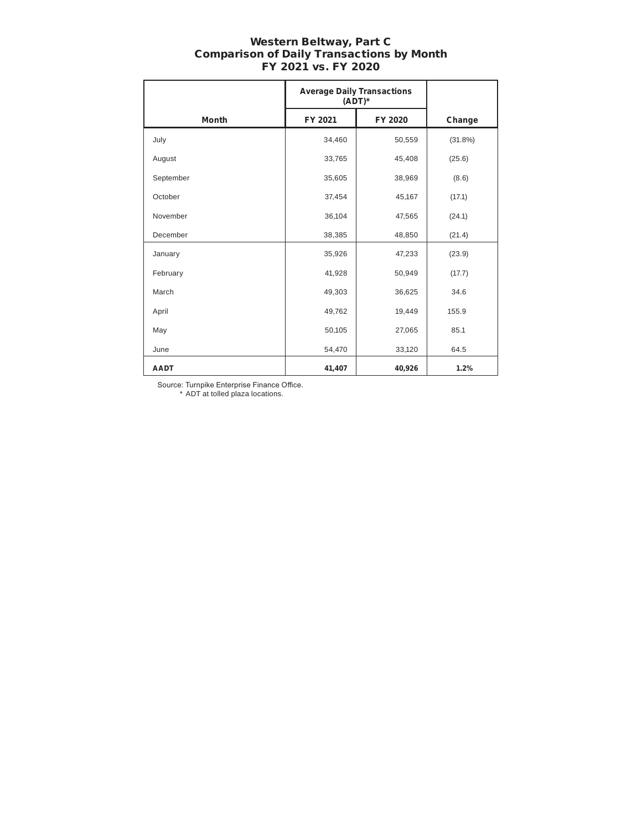#### Western Beltway, Part C Comparison of Daily Transactions by Month FY 2021 vs. FY 2020

|              | <b>Average Daily Transactions</b><br>$(ADT)^*$ |         |         |
|--------------|------------------------------------------------|---------|---------|
| <b>Month</b> | FY 2021                                        | FY 2020 | Change  |
| July         | 34,460                                         | 50,559  | (31.8%) |
| August       | 33,765                                         | 45,408  | (25.6)  |
| September    | 35,605                                         | 38,969  | (8.6)   |
| October      | 37,454                                         | 45,167  | (17.1)  |
| November     | 36,104                                         | 47,565  | (24.1)  |
| December     | 38,385                                         | 48,850  | (21.4)  |
| January      | 35,926                                         | 47,233  | (23.9)  |
| February     | 41,928                                         | 50,949  | (17.7)  |
| March        | 49,303                                         | 36,625  | 34.6    |
| April        | 49,762                                         | 19,449  | 155.9   |
| May          | 50,105                                         | 27,065  | 85.1    |
| June         | 54,470                                         | 33,120  | 64.5    |
| <b>AADT</b>  | 41,407                                         | 40,926  | 1.2%    |

Source: Turnpike Enterprise Finance Office.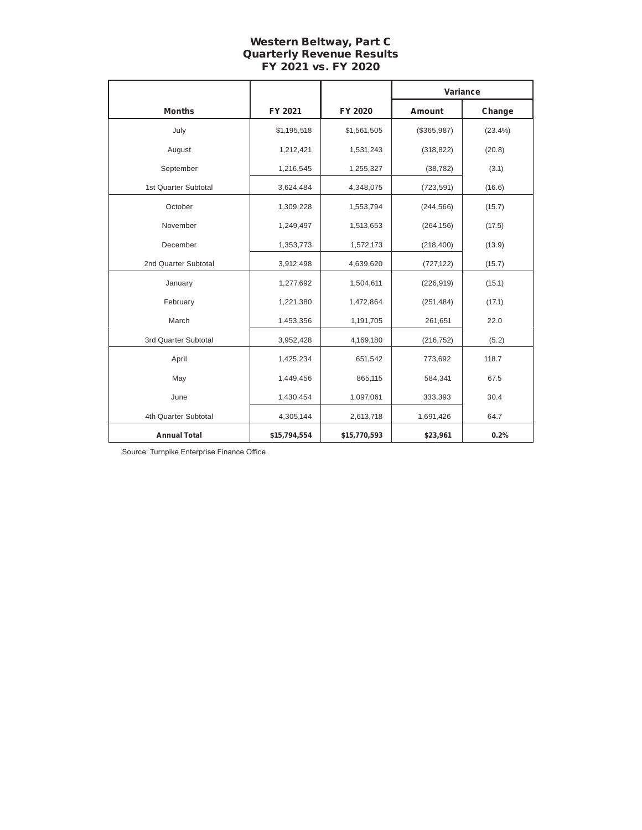# Western Beltway, Part C Quarterly Revenue Results FY 2021 vs. FY 2020

|                      |              |              | Variance    |         |  |
|----------------------|--------------|--------------|-------------|---------|--|
| <b>Months</b>        | FY 2021      | FY 2020      | Amount      | Change  |  |
| July                 | \$1,195,518  | \$1,561,505  | (\$365,987) | (23.4%) |  |
| August               | 1,212,421    | 1,531,243    | (318, 822)  | (20.8)  |  |
| September            | 1,216,545    | 1,255,327    | (38, 782)   | (3.1)   |  |
| 1st Quarter Subtotal | 3,624,484    | 4,348,075    | (723, 591)  | (16.6)  |  |
| October              | 1,309,228    | 1,553,794    | (244, 566)  | (15.7)  |  |
| November             | 1,249,497    | 1,513,653    | (264, 156)  | (17.5)  |  |
| December             | 1,353,773    | 1,572,173    | (218, 400)  | (13.9)  |  |
| 2nd Quarter Subtotal | 3,912,498    | 4,639,620    | (727, 122)  | (15.7)  |  |
| January              | 1,277,692    | 1,504,611    | (226, 919)  | (15.1)  |  |
| February             | 1,221,380    | 1,472,864    | (251, 484)  | (17.1)  |  |
| March                | 1,453,356    | 1,191,705    | 261,651     | 22.0    |  |
| 3rd Quarter Subtotal | 3,952,428    | 4,169,180    | (216, 752)  | (5.2)   |  |
| April                | 1,425,234    | 651,542      | 773,692     | 118.7   |  |
| May                  | 1,449,456    | 865,115      | 584,341     | 67.5    |  |
| June                 | 1,430,454    | 1,097,061    | 333,393     | 30.4    |  |
| 4th Quarter Subtotal | 4,305,144    | 2,613,718    | 1,691,426   | 64.7    |  |
| <b>Annual Total</b>  | \$15,794,554 | \$15,770,593 | \$23,961    | 0.2%    |  |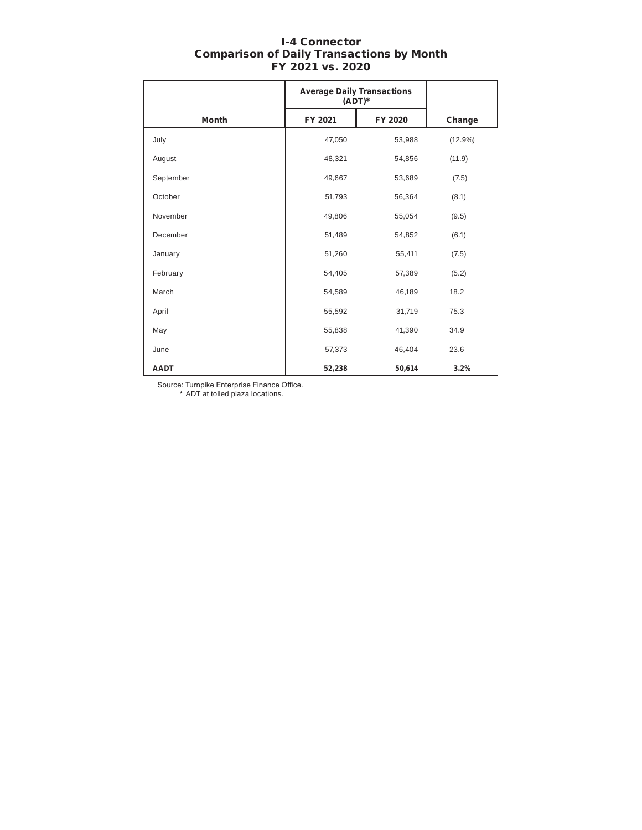| <b>I-4 Connector</b>                             |  |
|--------------------------------------------------|--|
| <b>Comparison of Daily Transactions by Month</b> |  |
| FY 2021 vs. 2020                                 |  |

|              | <b>Average Daily Transactions</b><br>$(ADT)^*$ |         |            |
|--------------|------------------------------------------------|---------|------------|
| <b>Month</b> | FY 2021                                        | FY 2020 | Change     |
| July         | 47,050                                         | 53,988  | $(12.9\%)$ |
| August       | 48,321                                         | 54,856  | (11.9)     |
| September    | 49,667                                         | 53,689  | (7.5)      |
| October      | 51,793                                         | 56,364  | (8.1)      |
| November     | 49,806                                         | 55,054  | (9.5)      |
| December     | 51,489                                         | 54,852  | (6.1)      |
| January      | 51,260                                         | 55,411  | (7.5)      |
| February     | 54,405                                         | 57,389  | (5.2)      |
| March        | 54,589                                         | 46,189  | 18.2       |
| April        | 55,592                                         | 31,719  | 75.3       |
| May          | 55,838                                         | 41,390  | 34.9       |
| June         | 57,373                                         | 46,404  | 23.6       |
| <b>AADT</b>  | 52,238                                         | 50,614  | 3.2%       |

Source: Turnpike Enterprise Finance Office.

I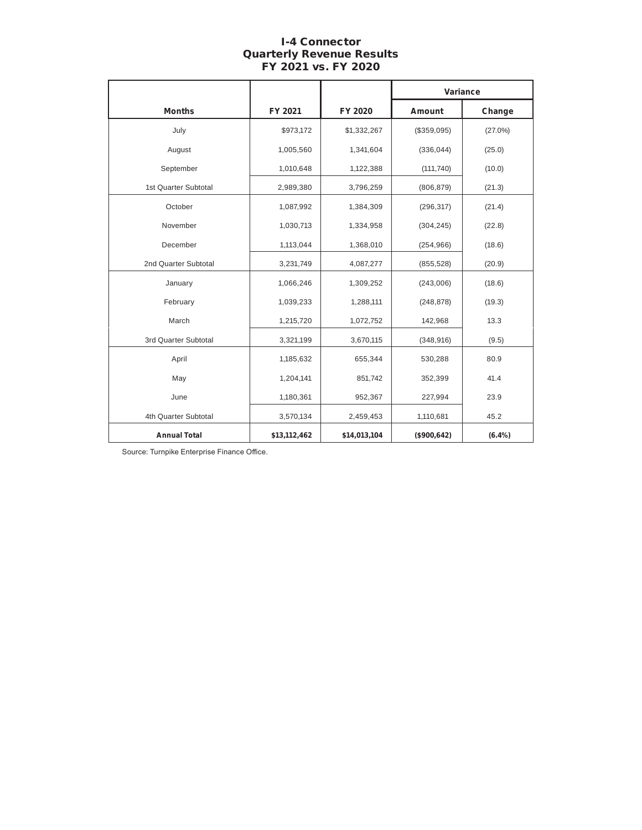# I-4 Connector Quarterly Revenue Results FY 2021 vs. FY 2020

|                      |              |              | Variance      |            |  |
|----------------------|--------------|--------------|---------------|------------|--|
| <b>Months</b>        | FY 2021      | FY 2020      | <b>Amount</b> | Change     |  |
| July                 | \$973,172    | \$1,332,267  | (\$359,095)   | $(27.0\%)$ |  |
| August               | 1,005,560    | 1,341,604    | (336, 044)    | (25.0)     |  |
| September            | 1,010,648    | 1,122,388    | (111, 740)    | (10.0)     |  |
| 1st Quarter Subtotal | 2,989,380    | 3,796,259    | (806, 879)    | (21.3)     |  |
| October              | 1,087,992    | 1,384,309    | (296, 317)    | (21.4)     |  |
| November             | 1,030,713    | 1,334,958    | (304, 245)    | (22.8)     |  |
| December             | 1,113,044    | 1,368,010    | (254, 966)    | (18.6)     |  |
| 2nd Quarter Subtotal | 3,231,749    | 4,087,277    | (855, 528)    | (20.9)     |  |
| January              | 1,066,246    | 1,309,252    | (243,006)     | (18.6)     |  |
| February             | 1,039,233    | 1,288,111    | (248, 878)    | (19.3)     |  |
| March                | 1,215,720    | 1,072,752    | 142,968       | 13.3       |  |
| 3rd Quarter Subtotal | 3,321,199    | 3,670,115    | (348, 916)    | (9.5)      |  |
| April                | 1,185,632    | 655,344      | 530,288       | 80.9       |  |
| May                  | 1,204,141    | 851,742      | 352,399       | 41.4       |  |
| June                 | 1,180,361    | 952,367      | 227,994       | 23.9       |  |
| 4th Quarter Subtotal | 3,570,134    | 2,459,453    | 1,110,681     | 45.2       |  |
| <b>Annual Total</b>  | \$13,112,462 | \$14,013,104 | (\$900, 642)  | (6.4%)     |  |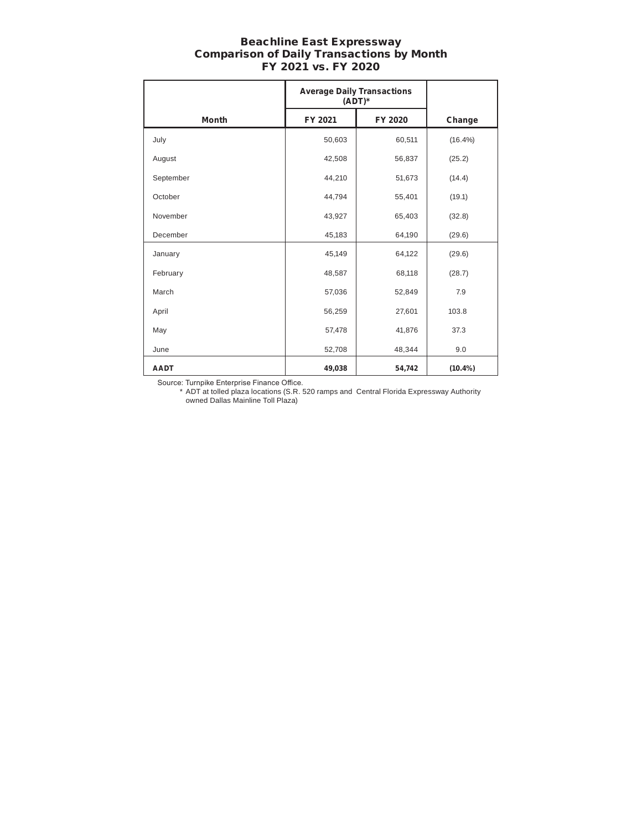#### Beachline East Expressway Comparison of Daily Transactions by Month FY 2021 vs. FY 2020

|              | <b>Average Daily Transactions</b><br>$(ADT)^*$ |         |            |
|--------------|------------------------------------------------|---------|------------|
| <b>Month</b> | FY 2021                                        | FY 2020 | Change     |
| July         | 50,603                                         | 60,511  | $(16.4\%)$ |
| August       | 42,508                                         | 56,837  | (25.2)     |
| September    | 44,210                                         | 51,673  | (14.4)     |
| October      | 44,794                                         | 55,401  | (19.1)     |
| November     | 43,927                                         | 65,403  | (32.8)     |
| December     | 45,183                                         | 64,190  | (29.6)     |
| January      | 45,149                                         | 64,122  | (29.6)     |
| February     | 48,587                                         | 68,118  | (28.7)     |
| March        | 57,036                                         | 52,849  | 7.9        |
| April        | 56,259                                         | 27,601  | 103.8      |
| May          | 57,478                                         | 41,876  | 37.3       |
| June         | 52,708                                         | 48,344  | 9.0        |
| <b>AADT</b>  | 49,038                                         | 54,742  | $(10.4\%)$ |

Source: Turnpike Enterprise Finance Office.

\* ADT at tolled plaza locations (S.R. 520 ramps and Central Florida Expressway Authority owned Dallas Mainline Toll Plaza)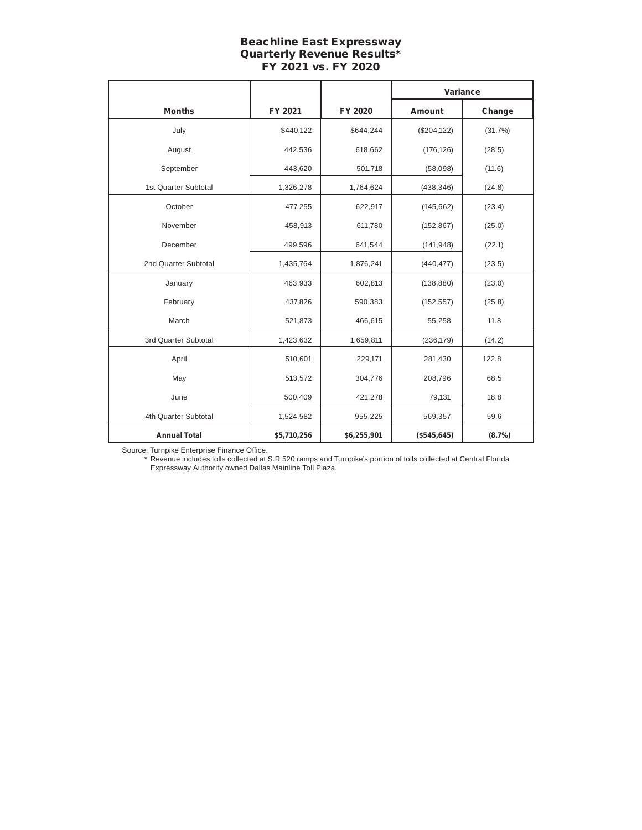#### Beachline East Expressway Quarterly Revenue Results\* FY 2021 vs. FY 2020

|                      |             |             | Variance        |         |  |
|----------------------|-------------|-------------|-----------------|---------|--|
| <b>Months</b>        | FY 2021     | FY 2020     | Amount          | Change  |  |
| July                 | \$440,122   | \$644,244   | (\$204, 122)    | (31.7%) |  |
| August               | 442,536     | 618,662     | (176, 126)      | (28.5)  |  |
| September            | 443,620     | 501,718     | (58,098)        | (11.6)  |  |
| 1st Quarter Subtotal | 1,326,278   | 1,764,624   | (438, 346)      | (24.8)  |  |
| October              | 477,255     | 622,917     | (145, 662)      | (23.4)  |  |
| November             | 458,913     | 611,780     | (152, 867)      | (25.0)  |  |
| December             | 499,596     | 641,544     | (141, 948)      | (22.1)  |  |
| 2nd Quarter Subtotal | 1,435,764   | 1,876,241   | (440, 477)      | (23.5)  |  |
| January              | 463,933     | 602,813     | (138, 880)      | (23.0)  |  |
| February             | 437,826     | 590,383     | (152, 557)      | (25.8)  |  |
| March                | 521,873     | 466,615     | 55,258          | 11.8    |  |
| 3rd Quarter Subtotal | 1,423,632   | 1,659,811   | (236, 179)      | (14.2)  |  |
| April                | 510,601     | 229,171     | 281,430         | 122.8   |  |
| May                  | 513,572     | 304,776     | 208,796         | 68.5    |  |
| June                 | 500,409     | 421,278     | 79,131          | 18.8    |  |
| 4th Quarter Subtotal | 1,524,582   | 955,225     | 59.6<br>569,357 |         |  |
| <b>Annual Total</b>  | \$5,710,256 | \$6,255,901 | (\$545,645)     | (8.7%)  |  |

Source: Turnpike Enterprise Finance Office.

\* Revenue includes tolls collected at S.R 520 ramps and Turnpike's portion of tolls collected at Central Florida Expressway Authority owned Dallas Mainline Toll Plaza.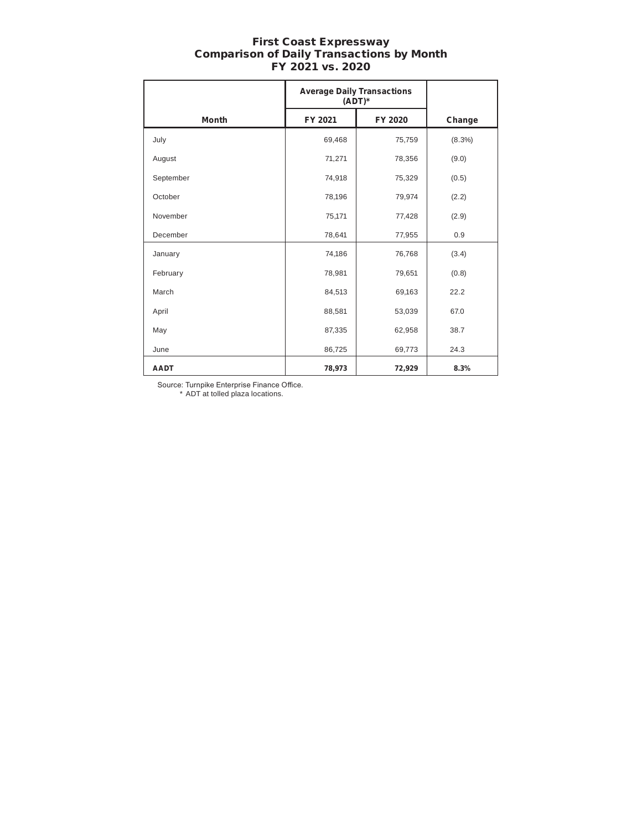#### First Coast Expressway Comparison of Daily Transactions by Month FY 2021 vs. 2020

|              | <b>Average Daily Transactions</b><br>$(ADT)^*$ |         |           |
|--------------|------------------------------------------------|---------|-----------|
| <b>Month</b> | FY 2021                                        | FY 2020 | Change    |
| July         | 69,468                                         | 75,759  | $(8.3\%)$ |
| August       | 71,271                                         | 78,356  | (9.0)     |
| September    | 74,918                                         | 75,329  | (0.5)     |
| October      | 78,196                                         | 79,974  | (2.2)     |
| November     | 75,171                                         | 77,428  | (2.9)     |
| December     | 78,641                                         | 77,955  | 0.9       |
| January      | 74,186                                         | 76,768  | (3.4)     |
| February     | 78,981                                         | 79,651  | (0.8)     |
| March        | 84,513                                         | 69,163  | 22.2      |
| April        | 88,581                                         | 53,039  | 67.0      |
| May          | 87,335                                         | 62,958  | 38.7      |
| June         | 86,725                                         | 69,773  | 24.3      |
| <b>AADT</b>  | 78,973                                         | 72,929  | 8.3%      |

Source: Turnpike Enterprise Finance Office.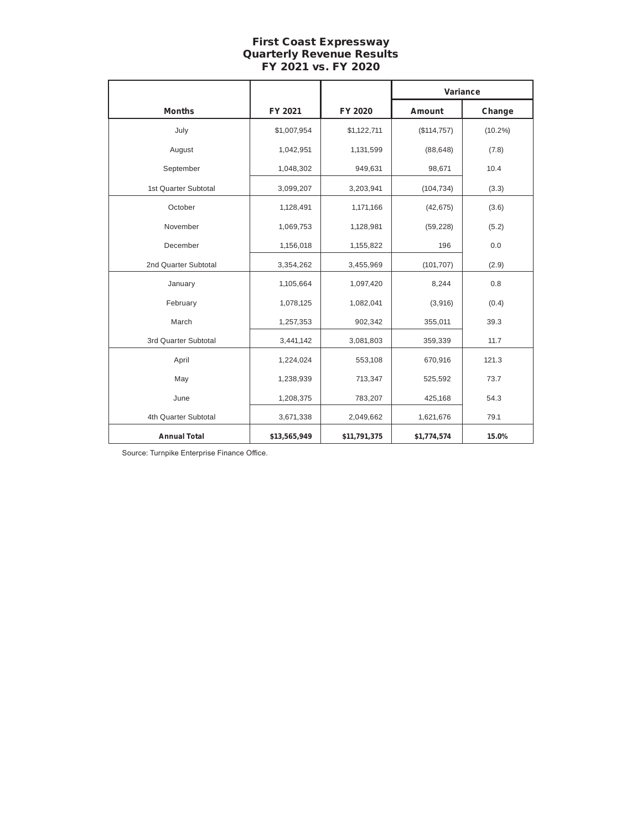# First Coast Expressway Quarterly Revenue Results FY 2021 vs. FY 2020

|                      |              |              | Variance      |            |  |
|----------------------|--------------|--------------|---------------|------------|--|
| <b>Months</b>        | FY 2021      | FY 2020      | <b>Amount</b> | Change     |  |
| July                 | \$1,007,954  | \$1,122,711  | (\$114,757)   | $(10.2\%)$ |  |
| August               | 1,042,951    | 1,131,599    | (88, 648)     | (7.8)      |  |
| September            | 1,048,302    | 949,631      | 98,671        | 10.4       |  |
| 1st Quarter Subtotal | 3,099,207    | 3,203,941    | (104, 734)    | (3.3)      |  |
| October              | 1,128,491    | 1,171,166    | (42, 675)     | (3.6)      |  |
| November             | 1,069,753    | 1,128,981    | (59, 228)     | (5.2)      |  |
| December             | 1,156,018    | 1,155,822    | 196           | 0.0        |  |
| 2nd Quarter Subtotal | 3,354,262    | 3,455,969    | (101, 707)    | (2.9)      |  |
| January              | 1,105,664    | 1,097,420    | 8,244         | 0.8        |  |
| February             | 1,078,125    | 1,082,041    | (3,916)       | (0.4)      |  |
| March                | 1,257,353    | 902,342      | 355,011       | 39.3       |  |
| 3rd Quarter Subtotal | 3,441,142    | 3,081,803    | 359,339       | 11.7       |  |
| April                | 1,224,024    | 553,108      | 670,916       | 121.3      |  |
| May                  | 1,238,939    | 713,347      | 525,592       | 73.7       |  |
| June                 | 1,208,375    | 783,207      | 425,168       | 54.3       |  |
| 4th Quarter Subtotal | 3,671,338    | 2,049,662    | 1,621,676     | 79.1       |  |
| <b>Annual Total</b>  | \$13,565,949 | \$11,791,375 | \$1,774,574   | 15.0%      |  |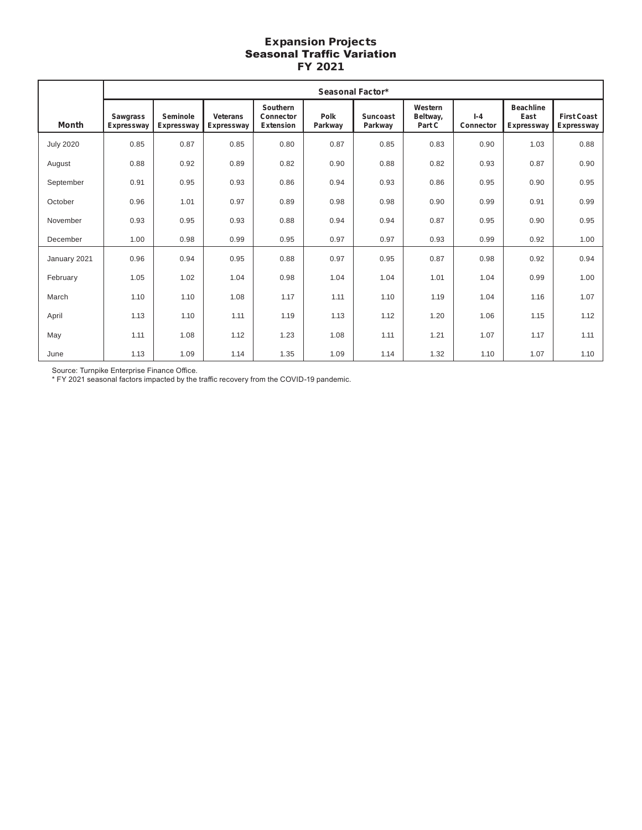#### Expansion Projects Seasonal Traffic Variation FY 2021

|                  | <b>Seasonal Factor*</b>              |                        |                               |                                           |                 |                            |                               |                      |                                        |                                  |
|------------------|--------------------------------------|------------------------|-------------------------------|-------------------------------------------|-----------------|----------------------------|-------------------------------|----------------------|----------------------------------------|----------------------------------|
| Month            | <b>Sawgrass</b><br><b>Expressway</b> | Seminole<br>Expressway | <b>Veterans</b><br>Expressway | Southern<br>Connector<br><b>Extension</b> | Polk<br>Parkway | <b>Suncoast</b><br>Parkway | Western<br>Beltway,<br>Part C | $I - 4$<br>Connector | <b>Beachline</b><br>East<br>Expressway | <b>First Coast</b><br>Expressway |
| <b>July 2020</b> | 0.85                                 | 0.87                   | 0.85                          | 0.80                                      | 0.87            | 0.85                       | 0.83                          | 0.90                 | 1.03                                   | 0.88                             |
| August           | 0.88                                 | 0.92                   | 0.89                          | 0.82                                      | 0.90            | 0.88                       | 0.82                          | 0.93                 | 0.87                                   | 0.90                             |
| September        | 0.91                                 | 0.95                   | 0.93                          | 0.86                                      | 0.94            | 0.93                       | 0.86                          | 0.95                 | 0.90                                   | 0.95                             |
| October          | 0.96                                 | 1.01                   | 0.97                          | 0.89                                      | 0.98            | 0.98                       | 0.90                          | 0.99                 | 0.91                                   | 0.99                             |
| November         | 0.93                                 | 0.95                   | 0.93                          | 0.88                                      | 0.94            | 0.94                       | 0.87                          | 0.95                 | 0.90                                   | 0.95                             |
| December         | 1.00                                 | 0.98                   | 0.99                          | 0.95                                      | 0.97            | 0.97                       | 0.93                          | 0.99                 | 0.92                                   | 1.00                             |
| January 2021     | 0.96                                 | 0.94                   | 0.95                          | 0.88                                      | 0.97            | 0.95                       | 0.87                          | 0.98                 | 0.92                                   | 0.94                             |
| February         | 1.05                                 | 1.02                   | 1.04                          | 0.98                                      | 1.04            | 1.04                       | 1.01                          | 1.04                 | 0.99                                   | 1.00                             |
| March            | 1.10                                 | 1.10                   | 1.08                          | 1.17                                      | 1.11            | 1.10                       | 1.19                          | 1.04                 | 1.16                                   | 1.07                             |
| April            | 1.13                                 | 1.10                   | 1.11                          | 1.19                                      | 1.13            | 1.12                       | 1.20                          | 1.06                 | 1.15                                   | 1.12                             |
| May              | 1.11                                 | 1.08                   | 1.12                          | 1.23                                      | 1.08            | 1.11                       | 1.21                          | 1.07                 | 1.17                                   | 1.11                             |
| June             | 1.13                                 | 1.09                   | 1.14                          | 1.35                                      | 1.09            | 1.14                       | 1.32                          | 1.10                 | 1.07                                   | 1.10                             |

Source: Turnpike Enterprise Finance Office.

\* FY 2021 seasonal factors impacted by the traffic recovery from the COVID-19 pandemic.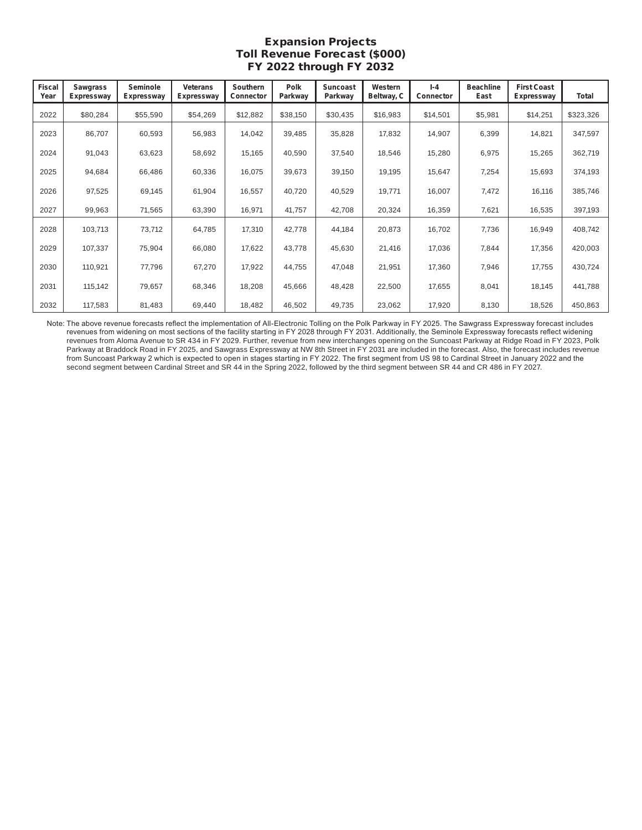# Expansion Projects Toll Revenue Forecast (\$000) FY 2022 through FY 2032

| <b>Fiscal</b><br>Year | <b>Sawgrass</b><br><b>Expressway</b> | Seminole<br><b>Expressway</b> | <b>Veterans</b><br><b>Expressway</b> | Southern<br>Connector | <b>Polk</b><br>Parkway | Suncoast<br>Parkway | Western<br>Beltway, C | $I - 4$<br>Connector | <b>Beachline</b><br>East | <b>First Coast</b><br>Expressway | Total     |
|-----------------------|--------------------------------------|-------------------------------|--------------------------------------|-----------------------|------------------------|---------------------|-----------------------|----------------------|--------------------------|----------------------------------|-----------|
| 2022                  | \$80,284                             | \$55,590                      | \$54,269                             | \$12,882              | \$38,150               | \$30,435            | \$16,983              | \$14,501             | \$5,981                  | \$14,251                         | \$323,326 |
| 2023                  | 86,707                               | 60,593                        | 56,983                               | 14,042                | 39,485                 | 35,828              | 17,832                | 14,907               | 6,399                    | 14,821                           | 347,597   |
| 2024                  | 91,043                               | 63,623                        | 58,692                               | 15,165                | 40,590                 | 37,540              | 18,546                | 15,280               | 6,975                    | 15,265                           | 362,719   |
| 2025                  | 94,684                               | 66,486                        | 60,336                               | 16,075                | 39,673                 | 39,150              | 19,195                | 15,647               | 7,254                    | 15,693                           | 374,193   |
| 2026                  | 97,525                               | 69,145                        | 61,904                               | 16,557                | 40,720                 | 40,529              | 19,771                | 16,007               | 7,472                    | 16,116                           | 385,746   |
| 2027                  | 99,963                               | 71,565                        | 63,390                               | 16,971                | 41,757                 | 42,708              | 20,324                | 16,359               | 7,621                    | 16,535                           | 397,193   |
| 2028                  | 103,713                              | 73,712                        | 64,785                               | 17,310                | 42,778                 | 44,184              | 20,873                | 16,702               | 7,736                    | 16,949                           | 408,742   |
| 2029                  | 107,337                              | 75,904                        | 66,080                               | 17,622                | 43,778                 | 45,630              | 21,416                | 17,036               | 7,844                    | 17,356                           | 420,003   |
| 2030                  | 110,921                              | 77,796                        | 67,270                               | 17,922                | 44,755                 | 47,048              | 21,951                | 17,360               | 7,946                    | 17,755                           | 430,724   |
| 2031                  | 115,142                              | 79,657                        | 68,346                               | 18,208                | 45,666                 | 48,428              | 22,500                | 17,655               | 8,041                    | 18,145                           | 441,788   |
| 2032                  | 117,583                              | 81,483                        | 69,440                               | 18,482                | 46,502                 | 49,735              | 23,062                | 17,920               | 8,130                    | 18,526                           | 450,863   |

Note: The above revenue forecasts reflect the implementation of All-Electronic Tolling on the Polk Parkway in FY 2025. The Sawgrass Expressway forecast includes revenues from widening on most sections of the facility starting in FY 2028 through FY 2031. Additionally, the Seminole Expressway forecasts reflect widening revenues from Aloma Avenue to SR 434 in FY 2029. Further, revenue from new interchanges opening on the Suncoast Parkway at Ridge Road in FY 2023, Polk Parkway at Braddock Road in FY 2025, and Sawgrass Expressway at NW 8th Street in FY 2031 are included in the forecast. Also, the forecast includes revenue from Suncoast Parkway 2 which is expected to open in stages starting in FY 2022. The first segment from US 98 to Cardinal Street in January 2022 and the second segment between Cardinal Street and SR 44 in the Spring 2022, followed by the third segment between SR 44 and CR 486 in FY 2027.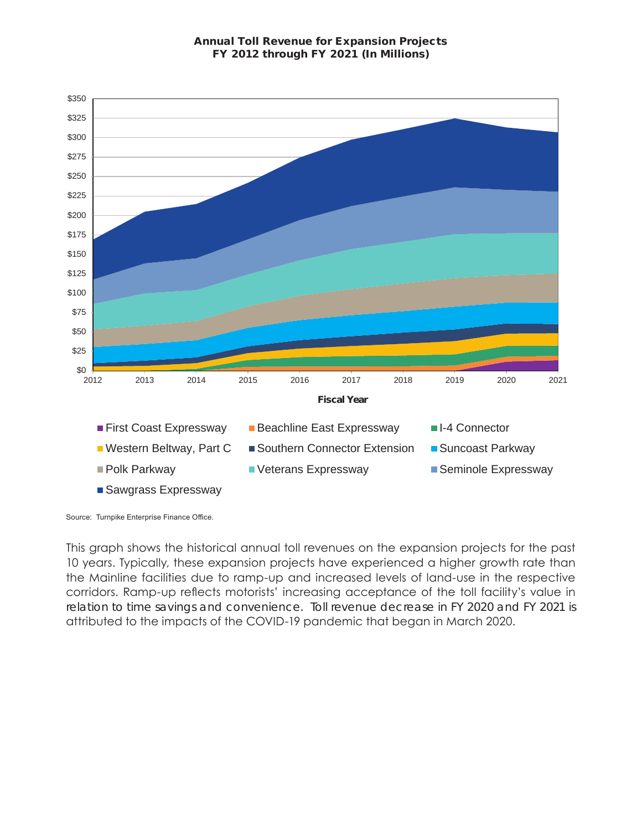

Source: Turnpike Enterprise Finance Office.

This graph shows the historical annual toll revenues on the expansion projects for the past 10 years. Typically, these expansion projects have experienced a higher growth rate than the Mainline facilities due to ramp-up and increased levels of land-use in the respective corridors. Ramp-up reflects motorists' increasing acceptance of the toll facility's value in relation to time savings and convenience. Toll revenue decrease in FY 2020 and FY 2021 is attributed to the impacts of the COVID-19 pandemic that began in March 2020.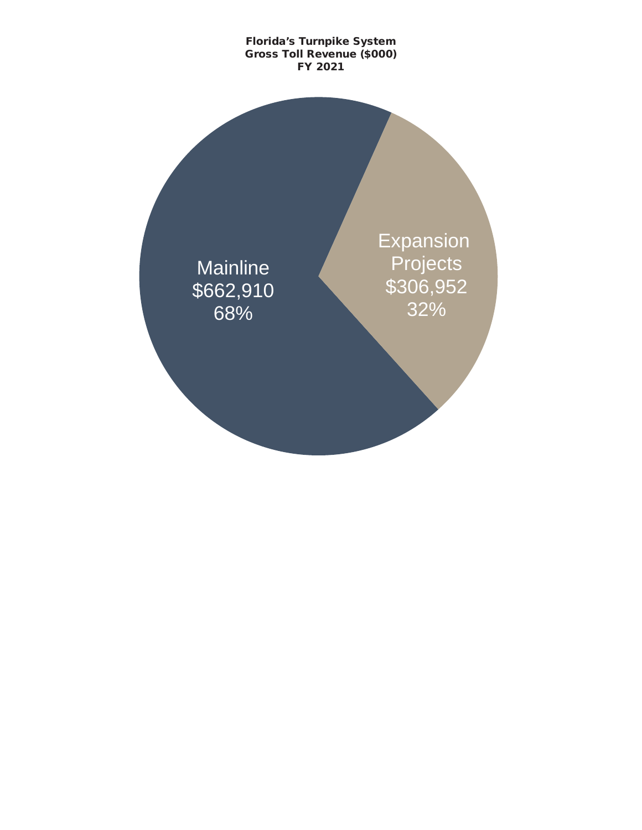# **Mainline** \$662,910 68% Expansion Projects \$306,952 32% Florida's Turnpike System Gross Toll Revenue (\$000) FY 2021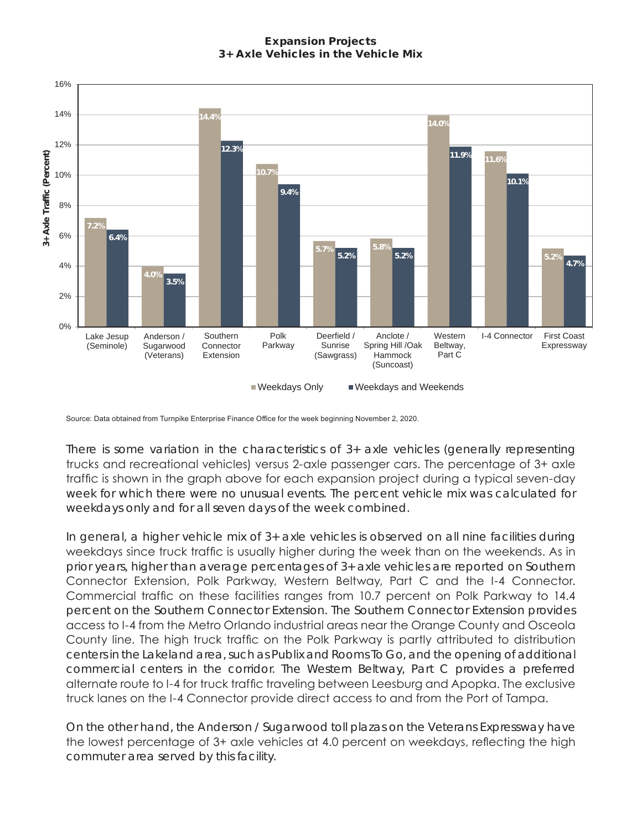# Expansion Projects 3+ Axle Vehicles in the Vehicle Mix



Source: Data obtained from Turnpike Enterprise Finance Office for the week beginning November 2, 2020.

There is some variation in the characteristics of 3+ axle vehicles (generally representing trucks and recreational vehicles) versus 2-axle passenger cars. The percentage of 3+ axle traffic is shown in the graph above for each expansion project during a typical seven-day week for which there were no unusual events. The percent vehicle mix was calculated for weekdays only and for all seven days of the week combined.

In general, a higher vehicle mix of 3+ axle vehicles is observed on all nine facilities during weekdays since truck traffic is usually higher during the week than on the weekends. As in prior years, higher than average percentages of 3+ axle vehicles are reported on Southern Connector Extension, Polk Parkway, Western Beltway, Part C and the I-4 Connector. Commercial traffic on these facilities ranges from 10.7 percent on Polk Parkway to 14.4 percent on the Southern Connector Extension. The Southern Connector Extension provides access to I-4 from the Metro Orlando industrial areas near the Orange County and Osceola County line. The high truck traffic on the Polk Parkway is partly attributed to distribution centers in the Lakeland area, such as Publix and Rooms To Go, and the opening of additional commercial centers in the corridor. The Western Beltway, Part C provides a preferred alternate route to I-4 for truck traffic traveling between Leesburg and Apopka. The exclusive truck lanes on the I-4 Connector provide direct access to and from the Port of Tampa.

On the other hand, the Anderson / Sugarwood toll plazas on the Veterans Expressway have the lowest percentage of 3+ axle vehicles at 4.0 percent on weekdays, reflecting the high commuter area served by this facility.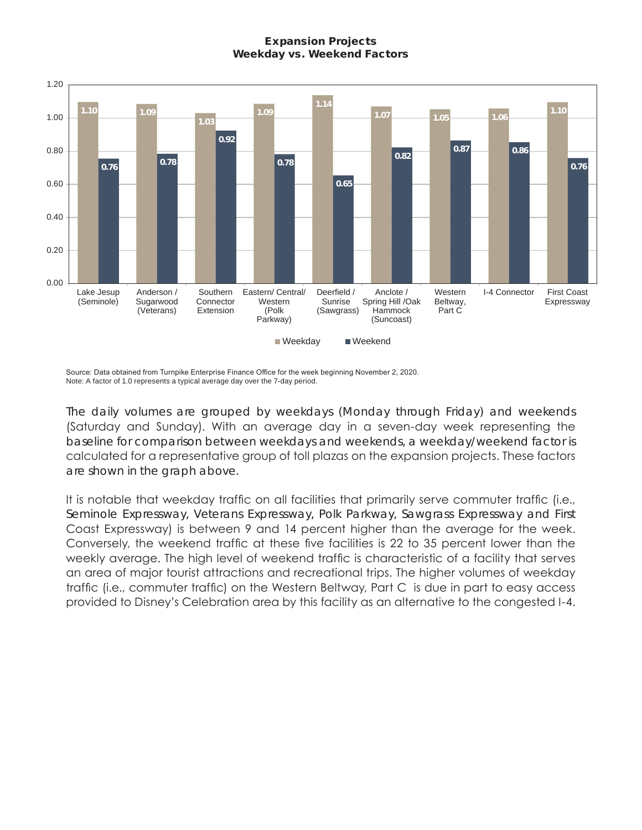# Expansion Projects Weekday vs. Weekend Factors



Source: Data obtained from Turnpike Enterprise Finance Office for the week beginning November 2, 2020. Note: A factor of 1.0 represents a typical average day over the 7-day period.

The daily volumes are grouped by weekdays (Monday through Friday) and weekends (Saturday and Sunday). With an average day in a seven-day week representing the baseline for comparison between weekdays and weekends, a weekday/weekend factor is calculated for a representative group of toll plazas on the expansion projects. These factors are shown in the graph above.

It is notable that weekday traffic on all facilities that primarily serve commuter traffic (i.e., Seminole Expressway, Veterans Expressway, Polk Parkway, Sawgrass Expressway and First Coast Expressway) is between 9 and 14 percent higher than the average for the week. Conversely, the weekend traffic at these five facilities is 22 to 35 percent lower than the weekly average. The high level of weekend traffic is characteristic of a facility that serves an area of major tourist attractions and recreational trips. The higher volumes of weekday traffic (i.e., commuter traffic) on the Western Beltway, Part C is due in part to easy access provided to Disney's Celebration area by this facility as an alternative to the congested I-4.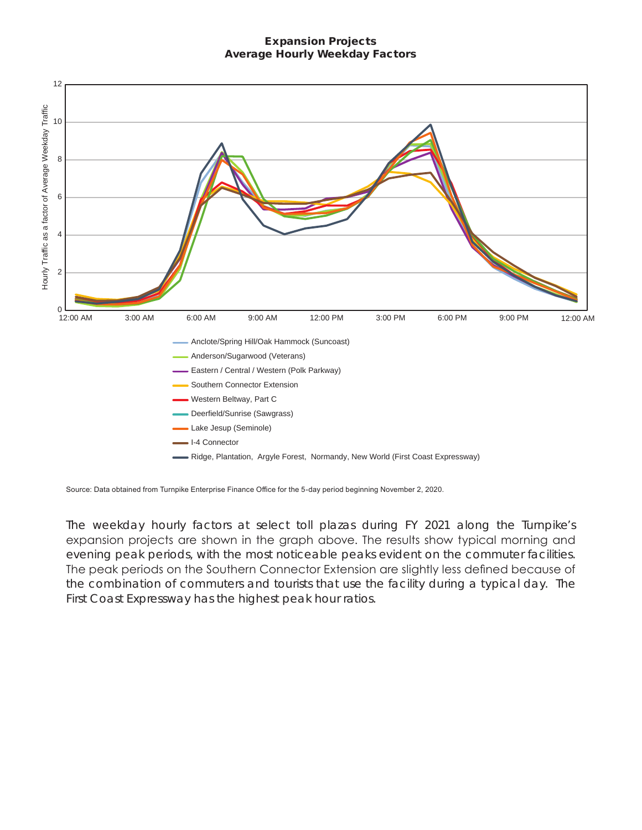#### Expansion Projects Average Hourly Weekday Factors



Source: Data obtained from Turnpike Enterprise Finance Office for the 5-day period beginning November 2, 2020.

The weekday hourly factors at select toll plazas during FY 2021 along the Turnpike's expansion projects are shown in the graph above. The results show typical morning and evening peak periods, with the most noticeable peaks evident on the commuter facilities. The peak periods on the Southern Connector Extension are slightly less defined because of the combination of commuters and tourists that use the facility during a typical day. The First Coast Expressway has the highest peak hour ratios.